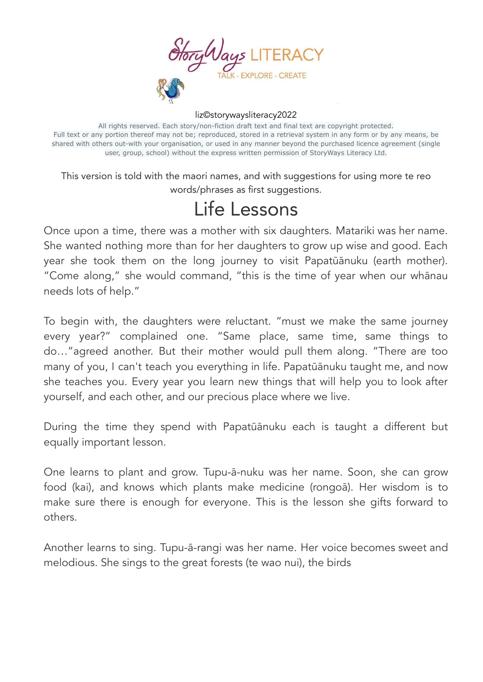

## liz©storywaysliteracy2022

All rights reserved. Each story/non-fiction draft text and final text are copyright protected. Full text or any portion thereof may not be; reproduced, stored in a retrieval system in any form or by any means, be shared with others out-with your organisation, or used in any manner beyond the purchased licence agreement (single user, group, school) without the express written permission of StoryWays Literacy Ltd.

This version is told with the maori names, and with suggestions for using more te reo words/phrases as first suggestions.

## Life Lessons

Once upon a time, there was a mother with six daughters. Matariki was her name. She wanted nothing more than for her daughters to grow up wise and good. Each year she took them on the long journey to visit Papatūānuku (earth mother). "Come along," she would command, "this is the time of year when our whānau needs lots of help."

To begin with, the daughters were reluctant. "must we make the same journey every year?" complained one. "Same place, same time, same things to do…"agreed another. But their mother would pull them along. "There are too many of you, I can't teach you everything in life. Papatūānuku taught me, and now she teaches you. Every year you learn new things that will help you to look after yourself, and each other, and our precious place where we live.

During the time they spend with Papatūānuku each is taught a different but equally important lesson.

One learns to plant and grow. Tupu-ā-nuku was her name. Soon, she can grow food (kai), and knows which plants make medicine (rongoā). Her wisdom is to make sure there is enough for everyone. This is the lesson she gifts forward to others.

Another learns to sing. Tupu-ā-rangi was her name. Her voice becomes sweet and melodious. She sings to the great forests (te wao nui), the birds